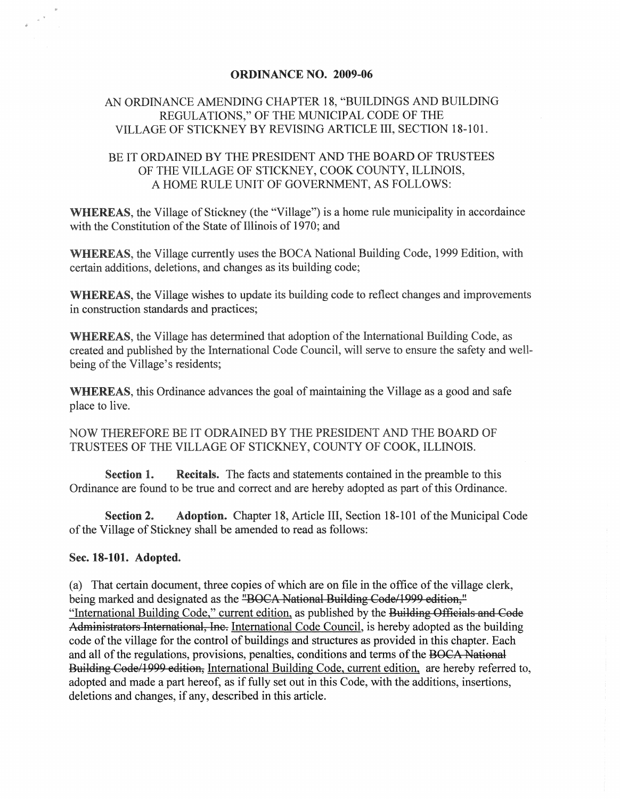## ORDINANCE NO. 2009-06

## AN ORDINANCE AMENDING CHAPTER 18, "BUILDINGS AND BUILDING REGULATIONS," OF THE MUNICIPAL CODE OF THE VILLAGE OF STICKNEY BY REVISING ARTICLE III, SECTION 18-101.

## BE IT ORDAINED BY THE PRESIDENT AND THE BOARD OF TRUSTEES OF THE VILLAGE OF STICKNEY, COOK COUNTY, ILLINOIS, A HOME RULE UNIT OF GOVERNMENT, AS FOLLOWS:

WHEREAS, the Village of Stickney (the "Village") is a home rule municipality in accordaince with the Constitution of the State of Illinois of 1970; and

WHEREAS, the Village currently uses the BOCA National Building Code, 1999 Edition, with certain additions, deletions, and changes as its building code;

WHEREAS, the Village wishes to update its building code to reflect changes and improvements in construction standards and practices;

WHEREAS, the Village has determined that adoption of the International Building Code, as created and published by the International Code Council, will serve to ensure the safety and wellbeing of the Village's residents;

WHEREAS, this Ordinance advances the goal of maintaining the Village as a good and safe place to live.

NOW THEREFORE BE IT ODRAINED BY THE PRESIDENT AND THE BOARD OF TRUSTEES OF THE VILLAGE OF STICKNEY, COUNTY OF COOK, ILLINOIS.

Section 1. Recitals. The facts and statements contained in the preamble to this Ordinance are found to be true and correct and are hereby adopted as part of this Ordinance.

Section 2. Adoption. Chapter 18, Article III, Section 18-101 of the Municipal Code of the Village of Stickney shall be amended to read as follows:

## Sec. 18-101. Adopted.

(a) That certain document, three copies of which are on file in the office of the village clerk, being marked and designated as the "BOCA-National Building Code/1999 edition," "International Building Code," current edition, as published by the Buildiag Offieials and Code Administrators International, Ine. International Code Council, is hereby adopted as the building code of the village for the control of buildings and structures as provided in this chapter. Each and all of the regulations, provisions, penalties, conditions and terms of the BOCA-National Building Code/1999 edition, International Building Code, current edition, are hereby referred to, adopted and made a part hereof, as if fully set out in this Code, with the additions, insertions, deletions and changes, if any, described in this article.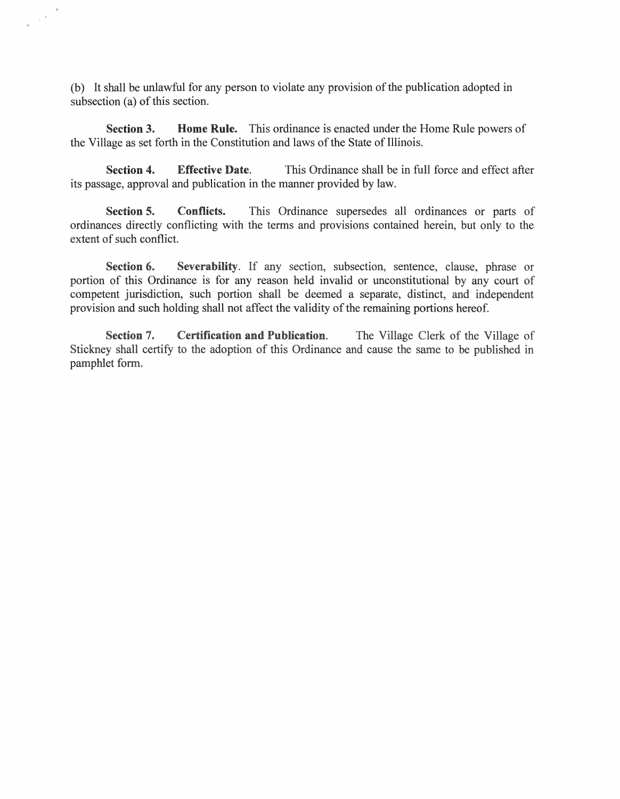(b) It shall be unlawful for any person to violate any provision of the publication adopted in subsection (a) of this section.

 $\mathcal{L}^{\mathcal{A}}$ 

**Section 3. Home Rule.** This ordinance is enacted under the Home Rule powers of the Village as set forth in the Constitution and laws of the State of Illinois.

**Section 4. Effective Date.** This Ordinance shall be in full force and effect after its passage, approval and publication in the manner provided by law.

**Section 5. Conflicts.** This Ordinance supersedes all ordinances or parts of ordinances directly conflicting with the terms and provisions contained herein, but only to the extent of such conflict.

**Section 6. Severability.** If any section, subsection, sentence, clause, phrase or portion of this Ordinance is for any reason held invalid or unconstitutional by any court of competent jurisdiction, such portion shall be deemed a separate, distinct, and independent provision and such holding shall not affect the validity of the remaining portions hereof.

**Section 7. Certification and Publication.** The Village Clerk of the Village of Stickney shall certify to the adoption of this Ordinance and cause the same to be published in pamphlet form.